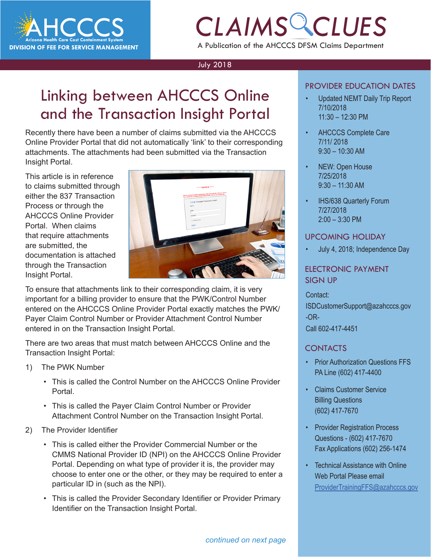

# *CLAIMS CLUES*

A Publication of the AHCCCS DFSM Claims Department

#### July 2018

### Linking between AHCCCS Online and the Transaction Insight Portal

Recently there have been a number of claims submitted via the AHCCCS Online Provider Portal that did not automatically 'link' to their corresponding attachments. The attachments had been submitted via the Transaction Insight Portal.

This article is in reference to claims submitted through either the 837 Transaction Process or through the AHCCCS Online Provider Portal. When claims that require attachments are submitted, the documentation is attached through the Transaction Insight Portal.



To ensure that attachments link to their corresponding claim, it is very important for a billing provider to ensure that the PWK/Control Number entered on the AHCCCS Online Provider Portal exactly matches the PWK/ Payer Claim Control Number or Provider Attachment Control Number entered in on the Transaction Insight Portal.

There are two areas that must match between AHCCCS Online and the Transaction Insight Portal:

- 1) The PWK Number
	- This is called the Control Number on the AHCCCS Online Provider Portal.
	- This is called the Payer Claim Control Number or Provider Attachment Control Number on the Transaction Insight Portal.
- 2) The Provider Identifier
	- This is called either the Provider Commercial Number or the CMMS National Provider ID (NPI) on the AHCCCS Online Provider Portal. Depending on what type of provider it is, the provider may choose to enter one or the other, or they may be required to enter a particular ID in (such as the NPI).
	- This is called the Provider Secondary Identifier or Provider Primary Identifier on the Transaction Insight Portal.

### PROVIDER EDUCATION DATES

- *CLAIMS CLUES* • Updated NEMT Daily Trip Report 7/10/2018 11:30 – 12:30 PM
	- AHCCCS Complete Care 7/11/ 2018 9:30 – 10:30 AM
	- NEW: Open House 7/25/2018 9:30 – 11:30 AM
	- IHS/638 Quarterly Forum 7/27/2018 2:00 – 3:30 PM

#### UPCOMING HOLIDAY

• July 4, 2018; Independence Day

### ELECTRONIC PAYMENT SIGN UP

#### Contact:

ISDCustomerSupport@azahcccs.gov -OR-Call 602-417-4451

### **CONTACTS**

- Prior Authorization Questions FFS PA Line (602) 417-4400
- Claims Customer Service Billing Questions (602) 417-7670
- Provider Registration Process Questions - (602) 417-7670 Fax Applications (602) 256-1474
- Technical Assistance with Online Web Portal Please email [ProviderTrainingFFS@azahcccs.gov](mailto:ProviderTrainingFFS%40azahcccs.gov%20?subject=Tech%20Support)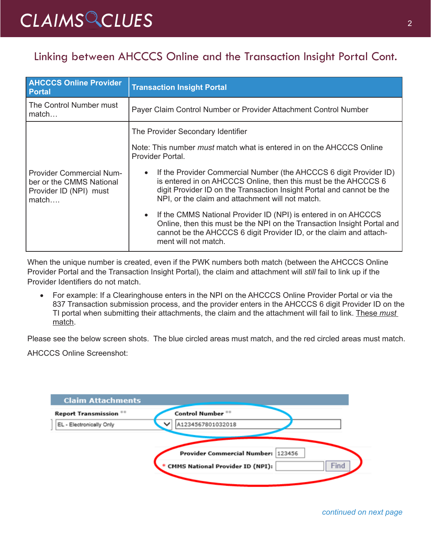# *CLAIMS CLUES* <sup>2</sup>

### Linking between AHCCCS Online and the Transaction Insight Portal Cont.

| <b>AHCCCS Online Provider</b><br><b>Portal</b>                                                 | <b>Transaction Insight Portal</b>                                                                                                                                                                                                                                 |
|------------------------------------------------------------------------------------------------|-------------------------------------------------------------------------------------------------------------------------------------------------------------------------------------------------------------------------------------------------------------------|
| The Control Number must<br>match                                                               | Payer Claim Control Number or Provider Attachment Control Number                                                                                                                                                                                                  |
| <b>Provider Commercial Num-</b><br>ber or the CMMS National<br>Provider ID (NPI) must<br>match | The Provider Secondary Identifier                                                                                                                                                                                                                                 |
|                                                                                                | Note: This number <i>must</i> match what is entered in on the AHCCCS Online<br>Provider Portal.                                                                                                                                                                   |
|                                                                                                | If the Provider Commercial Number (the AHCCCS 6 digit Provider ID)<br>is entered in on AHCCCS Online, then this must be the AHCCCS 6<br>digit Provider ID on the Transaction Insight Portal and cannot be the<br>NPI, or the claim and attachment will not match. |
|                                                                                                | If the CMMS National Provider ID (NPI) is entered in on AHCCCS<br>$\bullet$<br>Online, then this must be the NPI on the Transaction Insight Portal and<br>cannot be the AHCCCS 6 digit Provider ID, or the claim and attach-<br>ment will not match.              |

When the unique number is created, even if the PWK numbers both match (between the AHCCCS Online Provider Portal and the Transaction Insight Portal), the claim and attachment will *still* fail to link up if the Provider Identifiers do not match.

• For example: If a Clearinghouse enters in the NPI on the AHCCCS Online Provider Portal or via the 837 Transaction submission process, and the provider enters in the AHCCCS 6 digit Provider ID on the TI portal when submitting their attachments, the claim and the attachment will fail to link. These *must* match.

Please see the below screen shots. The blue circled areas must match, and the red circled areas must match.

AHCCCS Online Screenshot:

| <b>Claim Attachments</b>      |                                          |
|-------------------------------|------------------------------------------|
| <b>Report Transmission **</b> | Control Number **                        |
| EL - Electronically Only      | A1234567801032018                        |
|                               |                                          |
|                               | Provider Commercial Number:<br>123456    |
|                               | Find<br>CMMS National Provider ID (NPI): |
|                               |                                          |

*continued on next page*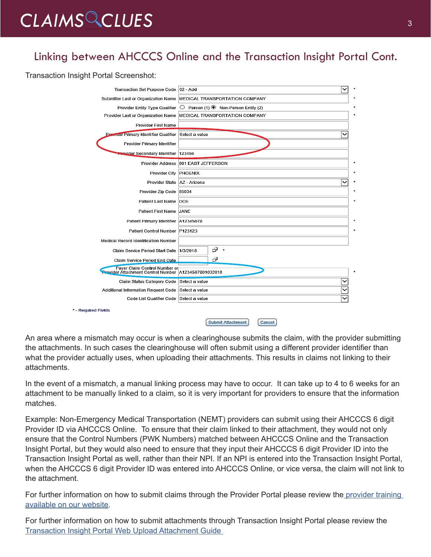# CLAIMS CLUES<sup>3</sup>

### Linking between AHCCCS Online and the Transaction Insight Portal Cont.

Transaction Insight Portal Screenshot:

| Transaction Set Purpose Code   02 - Add                                                 |                                                                      |
|-----------------------------------------------------------------------------------------|----------------------------------------------------------------------|
|                                                                                         | Submitter Last or Organization Name   MEDICAL TRANSPORTATION COMPANY |
| Provider Entity Type Qualifier                                                          | $\bigcirc$ Person (1) $\odot$ Non-Person Entity (2)                  |
|                                                                                         | Provider Last or Organization Name MEDICAL TRANSPORTATION COMPANY    |
| Provider First Name                                                                     |                                                                      |
| <b>Provider Primary Identifier Qualifier</b>                                            | Select a value                                                       |
| Provider Primary Identifier                                                             |                                                                      |
| <b>Provider Secondary Identifier 123456</b>                                             |                                                                      |
| <b>Provider Address</b>                                                                 | 801 EAST JEFFERSON                                                   |
| Provider City PHOENIX                                                                   |                                                                      |
| Provider State   AZ - Arizona                                                           | ◡                                                                    |
| Provider Zip Code 85034                                                                 |                                                                      |
| Patient Last Name DOE                                                                   |                                                                      |
| Patient First Name JANE                                                                 |                                                                      |
| Patient Primary Identifier   A12345678                                                  |                                                                      |
| Patient Control Number   P123123                                                        |                                                                      |
| Medical Record Identification Number                                                    |                                                                      |
| Claim Service Period Start Date 1/3/2018                                                | 8<br>$\star$                                                         |
| Claim Service Period End Date                                                           | ₽                                                                    |
| Payer Claim Control Number or<br>Provider Attachment Control Number   A1234567801032018 |                                                                      |
| Claim Status Category Code Select a value                                               |                                                                      |
| Additional Information Request Code Select a value                                      |                                                                      |
| Code List Qualifier Code Select a value                                                 |                                                                      |
| * - Required Fields                                                                     |                                                                      |
|                                                                                         | <b>Submit Attachment</b><br>Cancel                                   |

An area where a mismatch may occur is when a clearinghouse submits the claim, with the provider submitting the attachments. In such cases the clearinghouse will often submit using a different provider identifier than what the provider actually uses, when uploading their attachments. This results in claims not linking to their attachments.

In the event of a mismatch, a manual linking process may have to occur. It can take up to 4 to 6 weeks for an attachment to be manually linked to a claim, so it is very important for providers to ensure that the information matches.

Example: Non-Emergency Medical Transportation (NEMT) providers can submit using their AHCCCS 6 digit Provider ID via AHCCCS Online. To ensure that their claim linked to their attachment, they would not only ensure that the Control Numbers (PWK Numbers) matched between AHCCCS Online and the Transaction Insight Portal, but they would also need to ensure that they input their AHCCCS 6 digit Provider ID into the Transaction Insight Portal as well, rather than their NPI. If an NPI is entered into the Transaction Insight Portal, when the AHCCCS 6 digit Provider ID was entered into AHCCCS Online, or vice versa, the claim will not link to the attachment.

For further information on how to submit claims through the Provider Portal please review the provider training [available on our website](https://www.azahcccs.gov/Resources/Downloads/DFMSTraining/2017/OnLineClaimsSubmission.pdf).

For further information on how to submit attachments through Transaction Insight Portal please review the [Transaction Insight Portal Web Upload Attachment Guide](https://www.azahcccs.gov/Resources/Downloads/DFMSTraining/2018/TransactionInsight_TI_PortalWebUploadAttachmentGuide.pdf)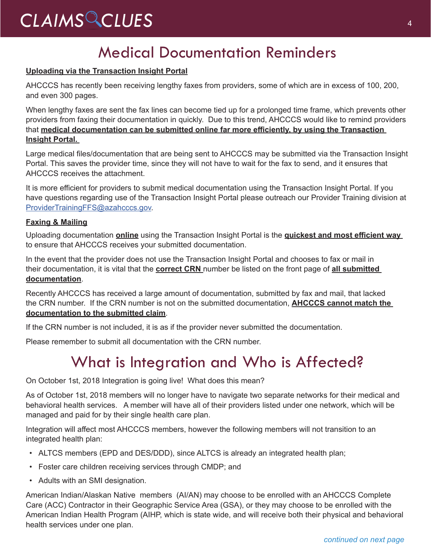# *CLAIMS CLUES* <sup>4</sup>

### Medical Documentation Reminders

### **Uploading via the Transaction Insight Portal**

AHCCCS has recently been receiving lengthy faxes from providers, some of which are in excess of 100, 200, and even 300 pages.

When lengthy faxes are sent the fax lines can become tied up for a prolonged time frame, which prevents other providers from faxing their documentation in quickly. Due to this trend, AHCCCS would like to remind providers that **medical documentation can be submitted online far more efficiently, by using the Transaction Insight Portal.** 

Large medical files/documentation that are being sent to AHCCCS may be submitted via the Transaction Insight Portal. This saves the provider time, since they will not have to wait for the fax to send, and it ensures that AHCCCS receives the attachment.

It is more efficient for providers to submit medical documentation using the Transaction Insight Portal. If you have questions regarding use of the Transaction Insight Portal please outreach our Provider Training division at [ProviderTrainingFFS@azahcccs.gov.](mailto:ProviderTrainingFFS%40azahcccs.gov?subject=)

### **Faxing & Mailing**

Uploading documentation **online** using the Transaction Insight Portal is the **quickest and most efficient way**  to ensure that AHCCCS receives your submitted documentation.

In the event that the provider does not use the Transaction Insight Portal and chooses to fax or mail in their documentation, it is vital that the **correct CRN** number be listed on the front page of **all submitted documentation**.

Recently AHCCCS has received a large amount of documentation, submitted by fax and mail, that lacked the CRN number. If the CRN number is not on the submitted documentation, **AHCCCS cannot match the documentation to the submitted claim**.

If the CRN number is not included, it is as if the provider never submitted the documentation.

Please remember to submit all documentation with the CRN number.

### What is Integration and Who is Affected?

On October 1st, 2018 Integration is going live! What does this mean?

As of October 1st, 2018 members will no longer have to navigate two separate networks for their medical and behavioral health services. A member will have all of their providers listed under one network, which will be managed and paid for by their single health care plan.

Integration will affect most AHCCCS members, however the following members will not transition to an integrated health plan:

- ALTCS members (EPD and DES/DDD), since ALTCS is already an integrated health plan;
- Foster care children receiving services through CMDP; and
- Adults with an SMI designation.

American Indian/Alaskan Native members (AI/AN) may choose to be enrolled with an AHCCCS Complete Care (ACC) Contractor in their Geographic Service Area (GSA), or they may choose to be enrolled with the American Indian Health Program (AIHP, which is state wide, and will receive both their physical and behavioral health services under one plan.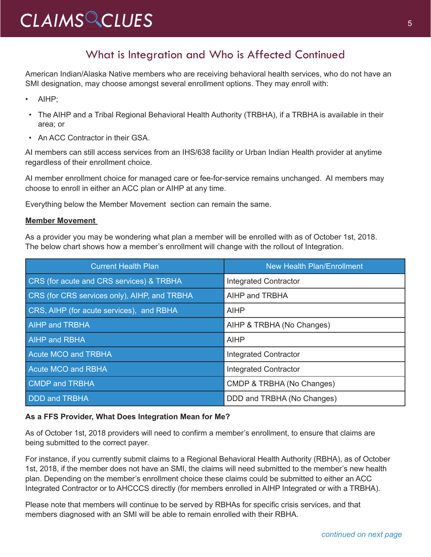# CLAIMS CLUES<sup>5</sup>

### What is Integration and Who is Affected Continued

American Indian/Alaska Native members who are receiving behavioral health services, who do not have an SMI designation, may choose amongst several enrollment options. They may enroll with:

- AIHP;
- The AIHP and a Tribal Regional Behavioral Health Authority (TRBHA), if a TRBHA is available in their area; or
- An ACC Contractor in their GSA.

AI members can still access services from an IHS/638 facility or Urban Indian Health provider at anytime regardless of their enrollment choice.

AI member enrollment choice for managed care or fee-for-service remains unchanged. AI members may choose to enroll in either an ACC plan or AIHP at any time.

Everything below the Member Movement section can remain the same.

#### **Member Movement**

As a provider you may be wondering what plan a member will be enrolled with as of October 1st, 2018. The below chart shows how a member's enrollment will change with the rollout of Integration.

| <b>Current Health Plan</b>                   | <b>New Health Plan/Enrollment</b> |
|----------------------------------------------|-----------------------------------|
| CRS (for acute and CRS services) & TRBHA     | <b>Integrated Contractor</b>      |
| CRS (for CRS services only), AIHP, and TRBHA | AIHP and TRBHA                    |
| CRS, AIHP (for acute services), and RBHA     | <b>AIHP</b>                       |
| <b>AIHP and TRBHA</b>                        | AIHP & TRBHA (No Changes)         |
| <b>AIHP and RBHA</b>                         | <b>AIHP</b>                       |
| <b>Acute MCO and TRBHA</b>                   | <b>Integrated Contractor</b>      |
| <b>Acute MCO and RBHA</b>                    | <b>Integrated Contractor</b>      |
| <b>CMDP</b> and TRBHA                        | CMDP & TRBHA (No Changes)         |
| <b>DDD</b> and TRBHA                         | DDD and TRBHA (No Changes)        |

#### **As a FFS Provider, What Does Integration Mean for Me?**

As of October 1st, 2018 providers will need to confirm a member's enrollment, to ensure that claims are being submitted to the correct payer.

For instance, if you currently submit claims to a Regional Behavioral Health Authority (RBHA), as of October 1st, 2018, if the member does not have an SMI, the claims will need submitted to the member's new health plan. Depending on the member's enrollment choice these claims could be submitted to either an ACC Integrated Contractor or to AHCCCS directly (for members enrolled in AIHP Integrated or with a TRBHA).

Please note that members will continue to be served by RBHAs for specific crisis services, and that members diagnosed with an SMI will be able to remain enrolled with their RBHA.